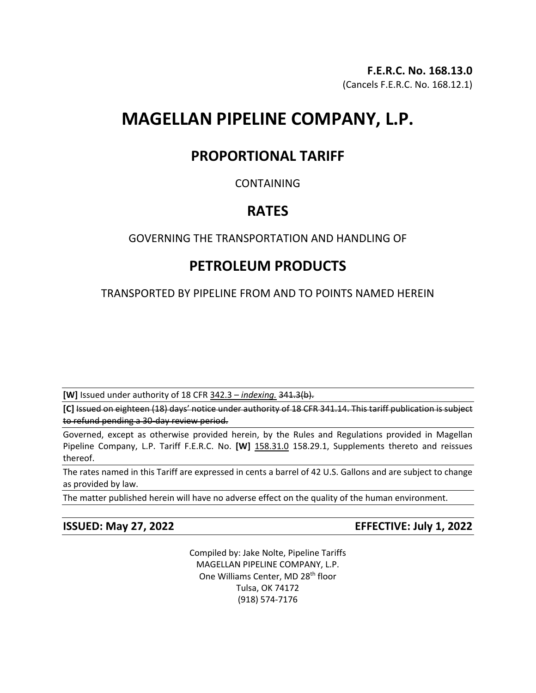# **MAGELLAN PIPELINE COMPANY, L.P.**

## **PROPORTIONAL TARIFF**

### CONTAINING

## **RATES**

### GOVERNING THE TRANSPORTATION AND HANDLING OF

# **PETROLEUM PRODUCTS**

TRANSPORTED BY PIPELINE FROM AND TO POINTS NAMED HEREIN

**[W]** Issued under authority of 18 CFR 342.3 – *indexing.* 341.3(b).

**[C]** Issued on eighteen (18) days' notice under authority of 18 CFR 341.14. This tariff publication is subject to refund pending a 30-day review period.

Governed, except as otherwise provided herein, by the Rules and Regulations provided in Magellan Pipeline Company, L.P. Tariff F.E.R.C. No. **[W]** 158.31.0 158.29.1, Supplements thereto and reissues thereof.

The rates named in this Tariff are expressed in cents a barrel of 42 U.S. Gallons and are subject to change as provided by law.

The matter published herein will have no adverse effect on the quality of the human environment.

**ISSUED: May 27, 2022 EFFECTIVE: July 1, 2022**

Compiled by: Jake Nolte, Pipeline Tariffs MAGELLAN PIPELINE COMPANY, L.P. One Williams Center, MD 28<sup>th</sup> floor Tulsa, OK 74172 (918) 574-7176